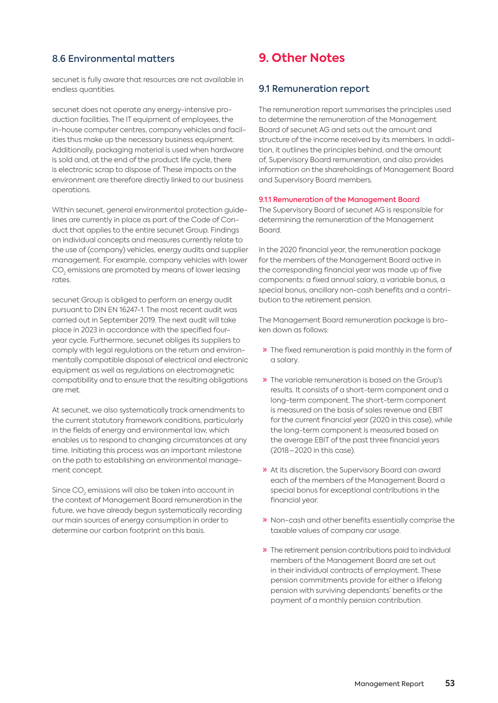# 8.6 Environmental matters

secunet is fully aware that resources are not available in endless quantities.

secunet does not operate any energy-intensive production facilities. The IT equipment of employees, the in-house computer centres, company vehicles and facilities thus make up the necessary business equipment. Additionally, packaging material is used when hardware is sold and, at the end of the product life cycle, there is electronic scrap to dispose of. These impacts on the environment are therefore directly linked to our business operations.

Within secunet, general environmental protection guidelines are currently in place as part of the Code of Conduct that applies to the entire secunet Group. Findings on individual concepts and measures currently relate to the use of (company) vehicles, energy audits and supplier management. For example, company vehicles with lower  $\mathrm{CO}_2$  emissions are promoted by means of lower leasing rates.

secunet Group is obliged to perform an energy audit pursuant to DIN EN 16247-1. The most recent audit was carried out in September 2019. The next audit will take place in 2023 in accordance with the specified fouryear cycle. Furthermore, secunet obliges its suppliers to comply with legal regulations on the return and environmentally compatible disposal of electrical and electronic equipment as well as regulations on electromagnetic compatibility and to ensure that the resulting obligations are met.

At secunet, we also systematically track amendments to the current statutory framework conditions, particularly in the fields of energy and environmental law, which enables us to respond to changing circumstances at any time. Initiating this process was an important milestone on the path to establishing an environmental management concept.

Since CO $_2$  emissions will also be taken into account in the context of Management Board remuneration in the future, we have already begun systematically recording our main sources of energy consumption in order to determine our carbon footprint on this basis.

# **9. Other Notes**

# 9.1 Remuneration report

The remuneration report summarises the principles used to determine the remuneration of the Management Board of secunet AG and sets out the amount and structure of the income received by its members. In addition, it outlines the principles behind, and the amount of, Supervisory Board remuneration, and also provides information on the shareholdings of Management Board and Supervisory Board members.

#### 9.1.1 Remuneration of the Management Board

The Supervisory Board of secunet AG is responsible for determining the remuneration of the Management Board.

In the 2020 financial year, the remuneration package for the members of the Management Board active in the corresponding financial year was made up of five components: a fixed annual salary, a variable bonus, a special bonus, ancillary non-cash benefits and a contribution to the retirement pension.

The Management Board remuneration package is broken down as follows:

- » The fixed remuneration is paid monthly in the form of a salary.
- » The variable remuneration is based on the Group's results. It consists of a short-term component and a long-term component. The short-term component is measured on the basis of sales revenue and EBIT for the current financial year (2020 in this case), while the long-term component is measured based on the average EBIT of the past three financial years (2018 – 2020 in this case).
- » At its discretion, the Supervisory Board can award each of the members of the Management Board a special bonus for exceptional contributions in the financial year.
- » Non-cash and other benefits essentially comprise the taxable values of company car usage.
- » The retirement pension contributions paid to individual members of the Management Board are set out in their individual contracts of employment. These pension commitments provide for either a lifelong pension with surviving dependants' benefits or the payment of a monthly pension contribution.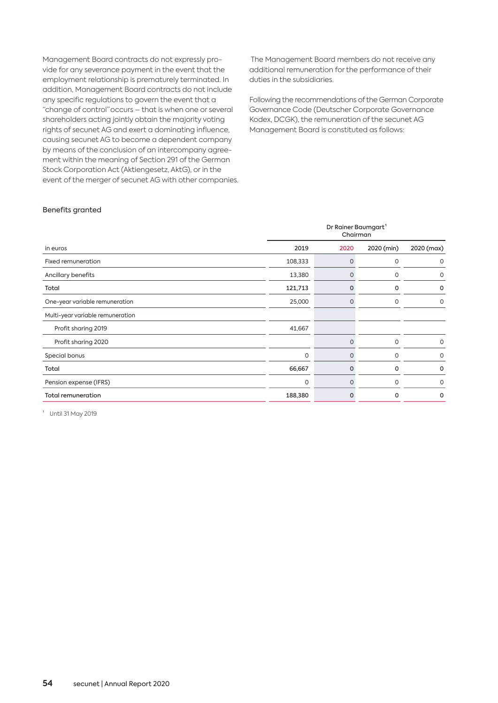Management Board contracts do not expressly provide for any severance payment in the event that the employment relationship is prematurely terminated. In addition, Management Board contracts do not include any specific regulations to govern the event that a "change of control" occurs – that is when one or several shareholders acting jointly obtain the majority voting rights of secunet AG and exert a dominating influence, causing secunet AG to become a dependent company by means of the conclusion of an intercompany agreement within the meaning of Section 291 of the German Stock Corporation Act (Aktiengesetz, AktG), or in the event of the merger of secunet AG with other companies.

 The Management Board members do not receive any additional remuneration for the performance of their duties in the subsidiaries.

Following the recommendations of the German Corporate Governance Code (Deutscher Corporate Governance Kodex, DCGK), the remuneration of the secunet AG Management Board is constituted as follows:

## Benefits granted

|                                  | Dr Rainer Baumgart <sup>1</sup><br>Chairman |          |            |             |  |  |  |
|----------------------------------|---------------------------------------------|----------|------------|-------------|--|--|--|
| in euros                         | 2019                                        | 2020     | 2020 (min) | 2020 (max)  |  |  |  |
| Fixed remuneration               | 108,333                                     | 0        | 0          | 0           |  |  |  |
| Ancillary benefits               | 13,380                                      |          | $\circ$    | 0           |  |  |  |
| Total                            | 121,713                                     | 0        | 0          | 0           |  |  |  |
| One-year variable remuneration   | 25,000                                      | 0        | $\circ$    | 0           |  |  |  |
| Multi-year variable remuneration |                                             |          |            |             |  |  |  |
| Profit sharing 2019              | 41,667                                      |          |            |             |  |  |  |
| Profit sharing 2020              |                                             | $\Omega$ | $\circ$    | 0           |  |  |  |
| Special bonus                    | 0                                           | $\Omega$ | $\circ$    | $\mathbf 0$ |  |  |  |
| Total                            | 66,667                                      | 0        | 0          | 0           |  |  |  |
| Pension expense (IFRS)           | $\mathbf 0$                                 | 0        | $\circ$    | 0           |  |  |  |
| <b>Total remuneration</b>        | 188,380                                     | 0        | 0          | 0           |  |  |  |

<sup>1</sup> Until 31 May 2019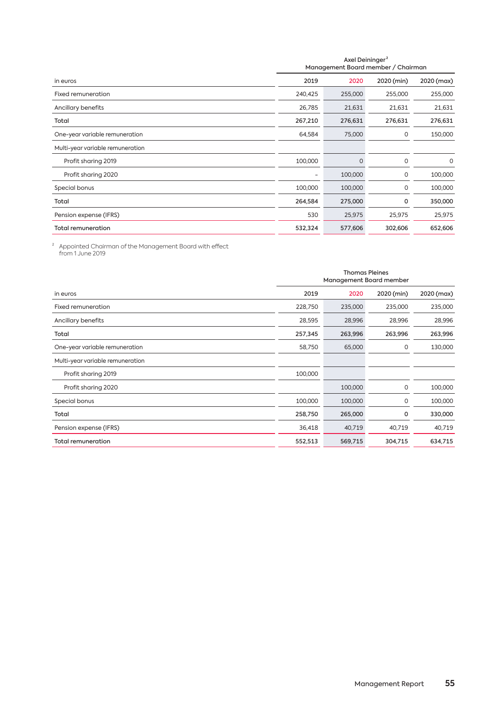|                                  | Axel Deininger <sup>2</sup><br>Management Board member / Chairman |          |            |            |  |  |
|----------------------------------|-------------------------------------------------------------------|----------|------------|------------|--|--|
| in euros                         | 2019                                                              | 2020     | 2020 (min) | 2020 (max) |  |  |
| Fixed remuneration               | 240,425                                                           | 255,000  | 255,000    | 255,000    |  |  |
| Ancillary benefits               | 26,785                                                            | 21,631   | 21,631     | 21,631     |  |  |
| Total                            | 267,210                                                           | 276,631  | 276,631    | 276,631    |  |  |
| One-year variable remuneration   | 64,584                                                            | 75,000   | 0          | 150,000    |  |  |
| Multi-year variable remuneration |                                                                   |          |            |            |  |  |
| Profit sharing 2019              | 100,000                                                           | $\Omega$ | 0          | 0          |  |  |
| Profit sharing 2020              | ۰                                                                 | 100,000  | 0          | 100,000    |  |  |
| Special bonus                    | 100,000                                                           | 100,000  | 0          | 100,000    |  |  |
| Total                            | 264,584                                                           | 275,000  | 0          | 350,000    |  |  |
| Pension expense (IFRS)           | 530                                                               | 25,975   | 25,975     | 25,975     |  |  |
| <b>Total remuneration</b>        | 532,324                                                           | 577,606  | 302,606    | 652,606    |  |  |

 $^{\prime}~$  Appointed Chairman of the Management Board with effect from 1 June 2019

|                                  | <b>Thomas Pleines</b><br>Management Board member |         |            |            |  |  |  |
|----------------------------------|--------------------------------------------------|---------|------------|------------|--|--|--|
| in euros                         | 2019                                             | 2020    | 2020 (min) | 2020 (max) |  |  |  |
| Fixed remuneration               | 228,750                                          | 235,000 | 235,000    | 235,000    |  |  |  |
| Ancillary benefits               | 28,595                                           | 28,996  | 28,996     | 28,996     |  |  |  |
| Total                            | 257,345                                          | 263,996 | 263,996    | 263,996    |  |  |  |
| One-year variable remuneration   | 58,750                                           | 65,000  | 0          | 130,000    |  |  |  |
| Multi-year variable remuneration |                                                  |         |            |            |  |  |  |
| Profit sharing 2019              | 100,000                                          |         |            |            |  |  |  |
| Profit sharing 2020              |                                                  | 100,000 | 0          | 100,000    |  |  |  |
| Special bonus                    | 100,000                                          | 100,000 | 0          | 100,000    |  |  |  |
| Total                            | 258,750                                          | 265,000 | 0          | 330,000    |  |  |  |
| Pension expense (IFRS)           | 36,418                                           | 40,719  | 40,719     | 40,719     |  |  |  |
| <b>Total remuneration</b>        | 552,513                                          | 569,715 | 304,715    | 634,715    |  |  |  |
|                                  |                                                  |         |            |            |  |  |  |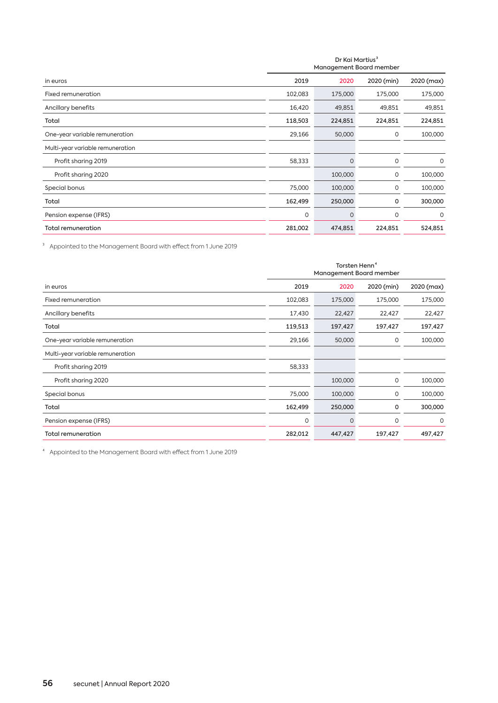|                                  | Dr Kai Martius <sup>3</sup><br>Management Board member |          |            |            |  |  |
|----------------------------------|--------------------------------------------------------|----------|------------|------------|--|--|
| in euros                         | 2019                                                   | 2020     | 2020 (min) | 2020 (max) |  |  |
| Fixed remuneration               | 102,083                                                | 175,000  | 175,000    | 175,000    |  |  |
| Ancillary benefits               | 16,420                                                 | 49,851   | 49,851     | 49,851     |  |  |
| Total                            | 118,503                                                | 224,851  | 224,851    | 224,851    |  |  |
| One-year variable remuneration   | 29,166                                                 | 50,000   | 0          | 100,000    |  |  |
| Multi-year variable remuneration |                                                        |          |            |            |  |  |
| Profit sharing 2019              | 58,333                                                 | $\Omega$ | $\circ$    | 0          |  |  |
| Profit sharing 2020              |                                                        | 100,000  | 0          | 100,000    |  |  |
| Special bonus                    | 75,000                                                 | 100,000  | 0          | 100,000    |  |  |
| Total                            | 162,499                                                | 250,000  | 0          | 300,000    |  |  |
| Pension expense (IFRS)           | 0                                                      | $\Omega$ | 0          | 0          |  |  |
| <b>Total remuneration</b>        | 281,002                                                | 474,851  | 224,851    | 524,851    |  |  |

³ Appointed to the Management Board with effect from 1 June 2019

|                                  | Torsten Henn <sup>4</sup><br>Management Board member |          |            |            |  |  |  |
|----------------------------------|------------------------------------------------------|----------|------------|------------|--|--|--|
| in euros                         | 2019                                                 | 2020     | 2020 (min) | 2020 (max) |  |  |  |
| Fixed remuneration               | 102,083                                              | 175,000  | 175,000    | 175,000    |  |  |  |
| Ancillary benefits               | 17,430                                               | 22,427   | 22,427     | 22,427     |  |  |  |
| Total                            | 119,513                                              | 197,427  | 197,427    | 197,427    |  |  |  |
| One-year variable remuneration   | 29,166                                               | 50,000   | 0          | 100,000    |  |  |  |
| Multi-year variable remuneration |                                                      |          |            |            |  |  |  |
| Profit sharing 2019              | 58,333                                               |          |            |            |  |  |  |
| Profit sharing 2020              |                                                      | 100,000  | 0          | 100,000    |  |  |  |
| Special bonus                    | 75,000                                               | 100,000  | 0          | 100,000    |  |  |  |
| Total                            | 162,499                                              | 250,000  | 0          | 300,000    |  |  |  |
| Pension expense (IFRS)           | $\circ$                                              | $\Omega$ | 0          | $\circ$    |  |  |  |
| <b>Total remuneration</b>        | 282,012                                              | 447,427  | 197,427    | 497,427    |  |  |  |

⁴ Appointed to the Management Board with effect from 1 June 2019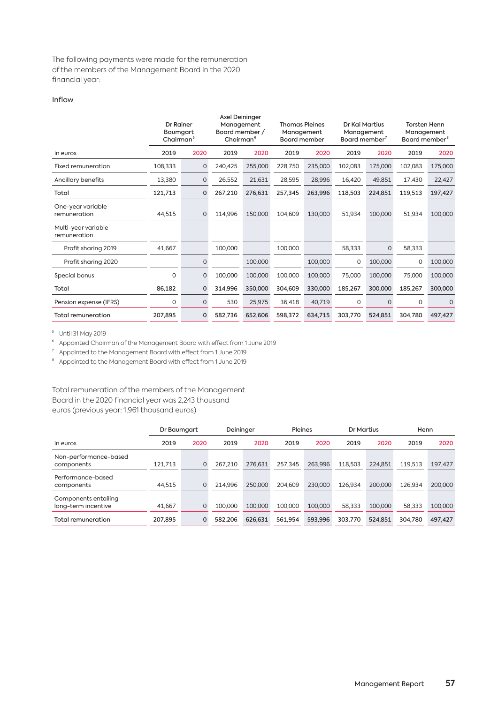The following payments were made for the remuneration of the members of the Management Board in the 2020 financial year:

## Inflow

|                                     | <b>Dr Rainer</b><br>Baumgart<br>Chairman <sup>5</sup> |         | Axel Deininger<br>Management<br>Board member /<br>Chairman <sup>6</sup> |         | <b>Thomas Pleines</b><br>Management<br><b>Board member</b> |         | Dr Kai Martius<br>Management<br>Board member <sup>7</sup> |          | <b>Torsten Henn</b><br>Management<br>Board member <sup>8</sup> |         |
|-------------------------------------|-------------------------------------------------------|---------|-------------------------------------------------------------------------|---------|------------------------------------------------------------|---------|-----------------------------------------------------------|----------|----------------------------------------------------------------|---------|
| in euros                            | 2019                                                  | 2020    | 2019                                                                    | 2020    | 2019                                                       | 2020    | 2019                                                      | 2020     | 2019                                                           | 2020    |
| Fixed remuneration                  | 108,333                                               | 0       | 240,425                                                                 | 255,000 | 228,750                                                    | 235,000 | 102,083                                                   | 175,000  | 102,083                                                        | 175,000 |
| Ancillary benefits                  | 13,380                                                | $\circ$ | 26,552                                                                  | 21,631  | 28,595                                                     | 28,996  | 16,420                                                    | 49,851   | 17,430                                                         | 22,427  |
| Total                               | 121,713                                               | 0       | 267,210                                                                 | 276,631 | 257,345                                                    | 263,996 | 118,503                                                   | 224,851  | 119,513                                                        | 197,427 |
| One-year variable<br>remuneration   | 44,515                                                | $\circ$ | 114,996                                                                 | 150,000 | 104,609                                                    | 130,000 | 51,934                                                    | 100,000  | 51,934                                                         | 100,000 |
| Multi-year variable<br>remuneration |                                                       |         |                                                                         |         |                                                            |         |                                                           |          |                                                                |         |
| Profit sharing 2019                 | 41,667                                                |         | 100,000                                                                 |         | 100,000                                                    |         | 58,333                                                    | 0        | 58,333                                                         |         |
| Profit sharing 2020                 |                                                       | 0       |                                                                         | 100,000 |                                                            | 100,000 | 0                                                         | 100,000  | $\mathbf 0$                                                    | 100,000 |
| Special bonus                       | 0                                                     | $\circ$ | 100,000                                                                 | 100,000 | 100,000                                                    | 100,000 | 75,000                                                    | 100,000  | 75,000                                                         | 100,000 |
| Total                               | 86,182                                                | 0       | 314,996                                                                 | 350,000 | 304,609                                                    | 330,000 | 185,267                                                   | 300,000  | 185,267                                                        | 300,000 |
| Pension expense (IFRS)              | 0                                                     | $\circ$ | 530                                                                     | 25,975  | 36,418                                                     | 40,719  | $\Omega$                                                  | $\Omega$ | 0                                                              | $\circ$ |
| <b>Total remuneration</b>           | 207,895                                               | 0       | 582,736                                                                 | 652,606 | 598,372                                                    | 634,715 | 303,770                                                   | 524,851  | 304,780                                                        | 497,427 |

⁵ Until 31 May 2019

⁶ Appointed Chairman of the Management Board with effect from 1 June 2019

<sup>7</sup> Appointed to the Management Board with effect from 1 June 2019

⁸ Appointed to the Management Board with effect from 1 June 2019

Total remuneration of the members of the Management Board in the 2020 financial year was 2,243 thousand euros (previous year: 1,961 thousand euros)

|                                             | Dr Baumaart |      | Deininger |         | Pleines |         | Dr Martius |         | Henn    |         |
|---------------------------------------------|-------------|------|-----------|---------|---------|---------|------------|---------|---------|---------|
| in euros                                    | 2019        | 2020 | 2019      | 2020    | 2019    | 2020    | 2019       | 2020    | 2019    | 2020    |
| Non-performance-based<br>components         | 121,713     | 0    | 267.210   | 276.631 | 257.345 | 263.996 | 118.503    | 224,851 | 119.513 | 197.427 |
| Performance-based<br>components             | 44,515      | 0    | 214.996   | 250.000 | 204.609 | 230,000 | 126.934    | 200,000 | 126.934 | 200,000 |
| Components entailing<br>long-term incentive | 41,667      | 0    | 100.000   | 100,000 | 100.000 | 100,000 | 58.333     | 100,000 | 58.333  | 100,000 |
| Total remuneration                          | 207,895     | 0    | 582.206   | 626.631 | 561.954 | 593.996 | 303.770    | 524.851 | 304.780 | 497.427 |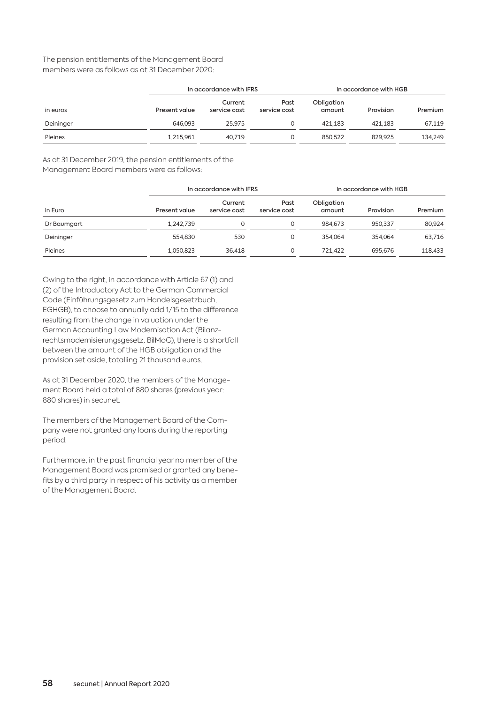## The pension entitlements of the Management Board members were as follows as at 31 December 2020:

|           | In accordance with IFRS |                         |                      | In accordance with HGB |           |         |  |
|-----------|-------------------------|-------------------------|----------------------|------------------------|-----------|---------|--|
| in euros  | Present value           | Current<br>service cost | Past<br>service cost | Obligation<br>amount   | Provision | Premium |  |
| Deininger | 646,093                 | 25.975                  |                      | 421.183                | 421.183   | 67.119  |  |
| Pleines   | 1.215.961               | 40.719                  | O                    | 850,522                | 829.925   | 134.249 |  |

As at 31 December 2019, the pension entitlements of the Management Board members were as follows:

|             | In accordance with IFRS |                         |                      | In accordance with HGB |           |         |  |
|-------------|-------------------------|-------------------------|----------------------|------------------------|-----------|---------|--|
| in Euro     | Present value           | Current<br>service cost | Past<br>service cost | Obligation<br>amount   | Provision | Premium |  |
| Dr Baumgart | 1.242.739               |                         | $\Omega$             | 984.673                | 950.337   | 80.924  |  |
| Deininger   | 554.830                 | 530                     | $\Omega$             | 354,064                | 354.064   | 63.716  |  |
| Pleines     | 1.050.823               | 36.418                  | $\Omega$             | 721.422                | 695.676   | 118,433 |  |

Owing to the right, in accordance with Article 67 (1) and (2) of the Introductory Act to the German Commercial Code (Einführungsgesetz zum Handelsgesetzbuch, EGHGB), to choose to annually add 1/15 to the difference resulting from the change in valuation under the German Accounting Law Modernisation Act (Bilanzrechtsmodernisierungsgesetz, BilMoG), there is a shortfall between the amount of the HGB obligation and the provision set aside, totalling 21 thousand euros.

As at 31 December 2020, the members of the Management Board held a total of 880 shares (previous year: 880 shares) in secunet.

The members of the Management Board of the Company were not granted any loans during the reporting period.

Furthermore, in the past financial year no member of the Management Board was promised or granted any benefits by a third party in respect of his activity as a member of the Management Board.